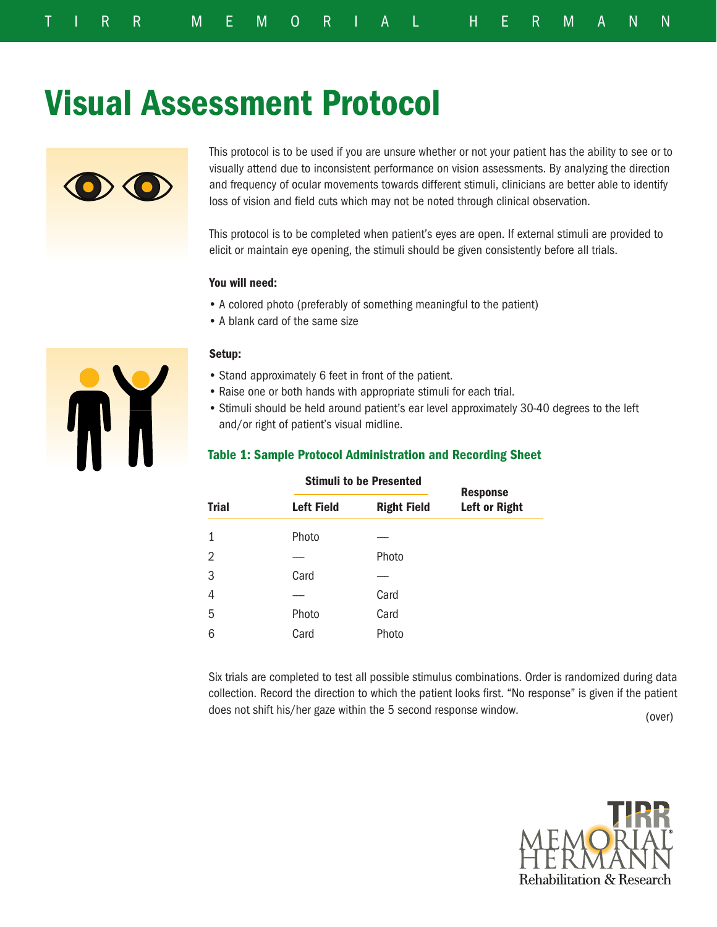# Visual Assessment Protocol



This protocol is to be used if you are unsure whether or not your patient has the ability to see or to visually attend due to inconsistent performance on vision assessments. By analyzing the direction and frequency of ocular movements towards different stimuli, clinicians are better able to identify loss of vision and field cuts which may not be noted through clinical observation.

This protocol is to be completed when patient's eyes are open. If external stimuli are provided to elicit or maintain eye opening, the stimuli should be given consistently before all trials.

#### You will need:

- A colored photo (preferably of something meaningful to the patient)
- A blank card of the same size



#### Setup:

- Stand approximately 6 feet in front of the patient.
- Raise one or both hands with appropriate stimuli for each trial.
- Stimuli should be held around patient's ear level approximately 30-40 degrees to the left and/or right of patient's visual midline.

## Table 1: Sample Protocol Administration and Recording Sheet

|              | <b>ULITURE LU DU L'IUSURUL</b> | <b>Response</b>    |                      |  |  |  |  |
|--------------|--------------------------------|--------------------|----------------------|--|--|--|--|
| <b>Trial</b> | <b>Left Field</b>              | <b>Right Field</b> | <b>Left or Right</b> |  |  |  |  |
| 1            | Photo                          |                    |                      |  |  |  |  |
| 2            |                                | Photo              |                      |  |  |  |  |
| 3            | Card                           |                    |                      |  |  |  |  |
| 4            |                                | Card               |                      |  |  |  |  |
| 5            | Photo                          | Card               |                      |  |  |  |  |
| 6            | Card                           | Photo              |                      |  |  |  |  |

## Stimuli to be Presented

(over) Six trials are completed to test all possible stimulus combinations. Order is randomized during data collection. Record the direction to which the patient looks first. "No response" is given if the patient does not shift his/her gaze within the 5 second response window.